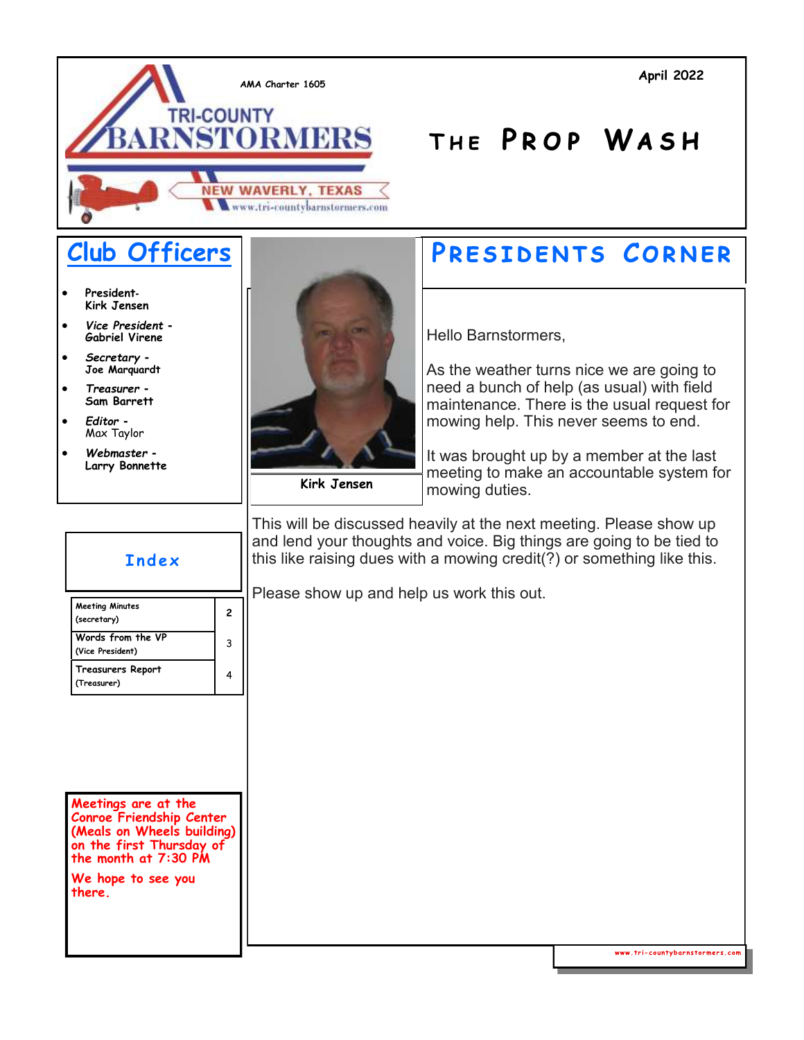

- **President***-***Kirk Jensen**
- *Vice President -* **Gabriel Virene**
- *Secretary -* **Joe Marquardt**
- *Treasurer -* **Sam Barrett**
- *Editor -* Max Taylor
- *Webmaster -* **Larry Bonnette**



**Kirk Jensen**

#### **Club Officers | PRESIDENTS CORNER**

**T h e P r o p Wa s h**

Hello Barnstormers,

As the weather turns nice we are going to need a bunch of help (as usual) with field maintenance. There is the usual request for mowing help. This never seems to end.

It was brought up by a member at the last meeting to make an accountable system for mowing duties.

This will be discussed heavily at the next meeting. Please show up and lend your thoughts and voice. Big things are going to be tied to this like raising dues with a mowing credit(?) or something like this.

Please show up and help us work this out.



**Meetings are at the Conroe Friendship Center (Meals on Wheels building) on the first Thursday of the month at 7:30 PM**

**We hope to see you there.**

www.tri-countybarnstormers.com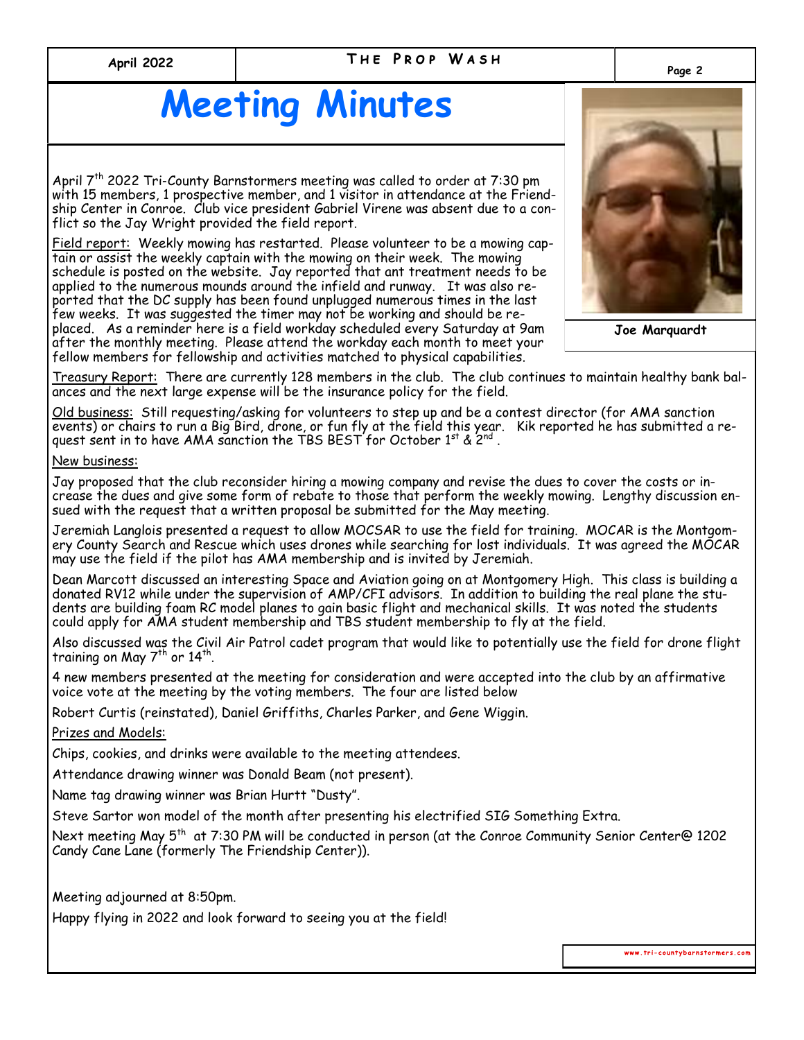#### **T h e P r o p W a s h Page 2 April 2022**

## **Meeting Minutes**

April 7<sup>th</sup> 2022 Tri-County Barnstormers meeting was called to order at 7:30 pm with 15 members, 1 prospective member, and 1 visitor in attendance at the Friendship Center in Conroe. Club vice president Gabriel Virene was absent due to a conflict so the Jay Wright provided the field report.

Field report: Weekly mowing has restarted. Please volunteer to be a mowing captain or assist the weekly captain with the mowing on their week. The mowing schedule is posted on the website. Jay reported that ant treatment needs to be applied to the numerous mounds around the infield and runway. It was also reported that the DC supply has been found unplugged numerous times in the last few weeks. It was suggested the timer may not be working and should be replaced. As a reminder here is a field workday scheduled every Saturday at 9am after the monthly meeting. Please attend the workday each month to meet your fellow members for fellowship and activities matched to physical capabilities.



**Joe Marquardt**

Treasury Report: There are currently 128 members in the club. The club continues to maintain healthy bank balances and the next large expense will be the insurance policy for the field.

Old business: Still requesting/asking for volunteers to step up and be a contest director (for AMA sanction events) or chairs to run a Big Bird, drone, or fun fly at the field this year. Kik reported he has submitted a request sent in to have AMA sanction the TBS <code>BEST</code> for October 1st & 2nd .

New business:

Jay proposed that the club reconsider hiring a mowing company and revise the dues to cover the costs or increase the dues and give some form of rebate to those that perform the weekly mowing. Lengthy discussion ensued with the request that a written proposal be submitted for the May meeting.

Jeremiah Langlois presented a request to allow MOCSAR to use the field for training. MOCAR is the Montgomery County Search and Rescue which uses drones while searching for lost individuals. It was agreed the MOCAR may use the field if the pilot has AMA membership and is invited by Jeremiah.

Dean Marcott discussed an interesting Space and Aviation going on at Montgomery High. This class is building a donated RV12 while under the supervision of AMP/CFI advisors. In addition to building the real plane the students are building foam RC model planes to gain basic flight and mechanical skills. It was noted the students could apply for AMA student membership and TBS student membership to fly at the field.

Also discussed was the Civil Air Patrol cadet program that would like to potentially use the field for drone flight training on May  $7^{\text{th}}$  or  $14^{\text{th}}$ .

4 new members presented at the meeting for consideration and were accepted into the club by an affirmative voice vote at the meeting by the voting members. The four are listed below

Robert Curtis (reinstated), Daniel Griffiths, Charles Parker, and Gene Wiggin.

Prizes and Models:

Chips, cookies, and drinks were available to the meeting attendees.

Attendance drawing winner was Donald Beam (not present).

Name tag drawing winner was Brian Hurtt "Dusty".

Steve Sartor won model of the month after presenting his electrified SIG Something Extra.

Next meeting May 5<sup>th</sup> at 7:30 PM will be conducted in person (at the Conroe Community Senior Center@ 1202 Candy Cane Lane (formerly The Friendship Center)).

Meeting adjourned at 8:50pm.

Happy flying in 2022 and look forward to seeing you at the field!

www.tri-countybarnstormers.com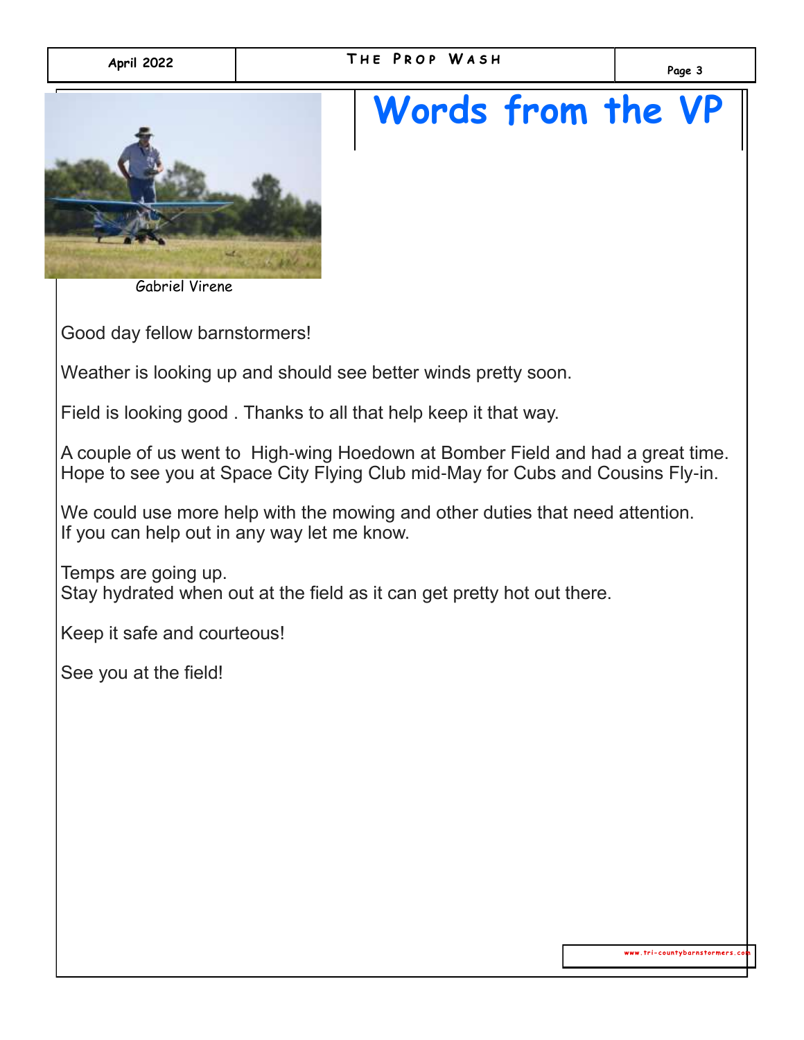# **Words from the VP**



Gabriel Virene

Good day fellow barnstormers!

Weather is looking up and should see better winds pretty soon.

Field is looking good . Thanks to all that help keep it that way.

A couple of us went to High-wing Hoedown at Bomber Field and had a great time. Hope to see you at Space City Flying Club mid-May for Cubs and Cousins Fly-in.

We could use more help with the mowing and other duties that need attention. If you can help out in any way let me know.

Temps are going up. Stay hydrated when out at the field as it can get pretty hot out there.

Keep it safe and courteous!

See you at the field!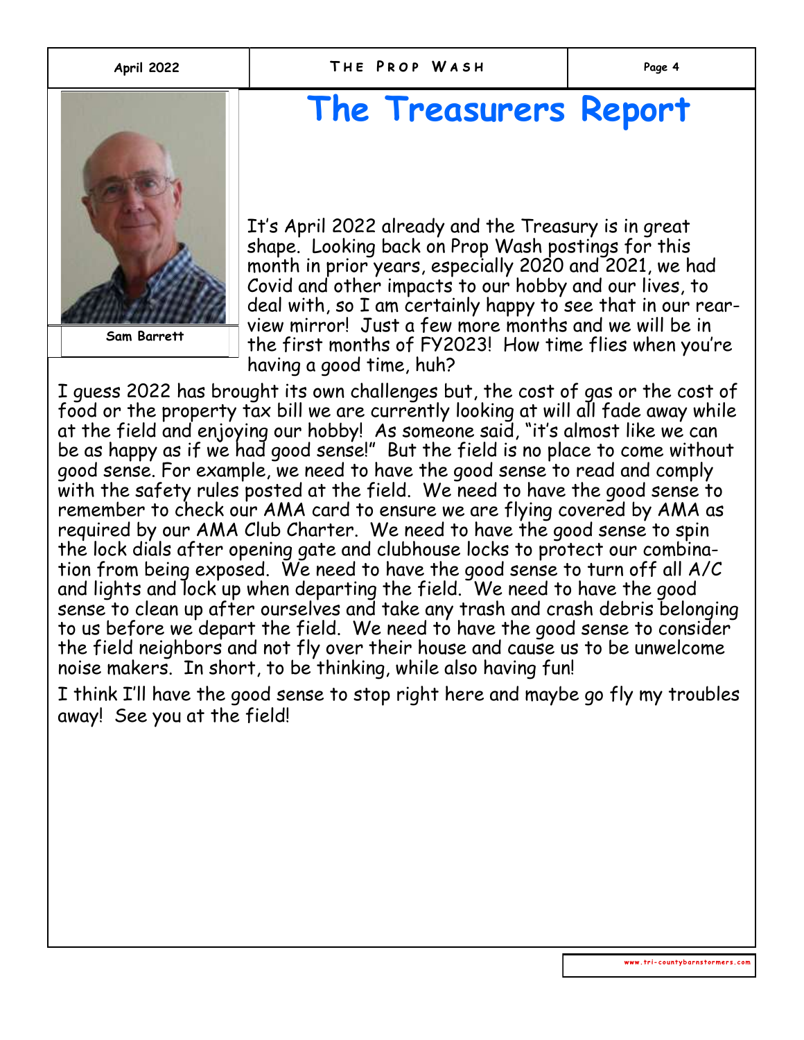

**Dick Pursley Sam Barrett**

### **The Treasurers Report**

It's April 2022 already and the Treasury is in great shape. Looking back on Prop Wash postings for this month in prior years, especially 2020 and 2021, we had Covid and other impacts to our hobby and our lives, to deal with, so I am certainly happy to see that in our rearview mirror! Just a few more months and we will be in the first months of FY2023! How time flies when you're having a good time, huh?

I guess 2022 has brought its own challenges but, the cost of gas or the cost of food or the property tax bill we are currently looking at will all fade away while at the field and enjoying our hobby! As someone said, "it's almost like we can be as happy as if we had good sense!" But the field is no place to come without good sense. For example, we need to have the good sense to read and comply with the safety rules posted at the field. We need to have the good sense to remember to check our AMA card to ensure we are flying covered by AMA as required by our AMA Club Charter. We need to have the good sense to spin the lock dials after opening gate and clubhouse locks to protect our combination from being exposed. We need to have the good sense to turn off all A/C and lights and lock up when departing the field. We need to have the good sense to clean up after ourselves and take any trash and crash debris belonging to us before we depart the field. We need to have the good sense to consider the field neighbors and not fly over their house and cause us to be unwelcome noise makers. In short, to be thinking, while also having fun!

I think I'll have the good sense to stop right here and maybe go fly my troubles away! See you at the field!